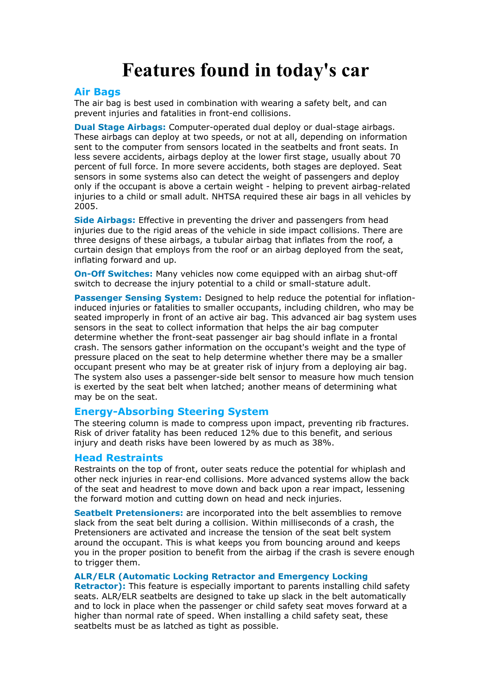# **Features found in today's car**

## **Air Bags**

The air bag is best used in combination with wearing a [safety belt,](http://www.roadandtravel.com/safetyandsecurity/2005/invehiclesafety.htm) and can prevent injuries and fatalities in front-end collisions.

**Dual Stage Airbags:** Computer-operated dual deploy or dual-stage airbags. These airbags can deploy at two speeds, or not at all, depending on information sent to the computer from sensors located in the seatbelts and front seats. In less severe accidents, airbags deploy at the lower first stage, usually about 70 percent of full force. In more severe accidents, both stages are deployed. Seat sensors in some systems also can detect the weight of passengers and deploy only if the occupant is above a certain weight - helping to prevent airbag-related injuries to a child or small adult. NHTSA required these air bags in all vehicles by 2005.

**Side Airbags:** Effective in preventing the driver and passengers from head injuries due to the rigid areas of the vehicle in [side impact](http://www.roadandtravel.com/safetyandsecurity/2005/invehiclesafety.htm) collisions. There are three designs of these airbags, a tubular airbag that inflates from the roof, a curtain design that employs from the roof or an airbag deployed from the seat, inflating forward and up.

**On-Off Switches:** Many vehicles now come equipped with an airbag shut-off switch to decrease the injury potential to a child or small-stature adult.

**Passenger Sensing System:** Designed to help reduce the potential for inflationinduced injuries or fatalities to smaller occupants, including children, who may be seated improperly in front of an active air bag. This [advanced air bag](http://www.roadandtravel.com/safetyandsecurity/2005/invehiclesafety.htm) system uses sensors in the seat to collect information that helps the air bag computer determine whether the front-seat passenger air bag should inflate in a frontal crash. The sensors gather information on the occupant's weight and the type of pressure placed on the seat to help determine whether there may be a smaller occupant present who may be at greater risk of injury from a deploying air bag. The system also uses a [passenger-side](http://www.roadandtravel.com/safetyandsecurity/2005/invehiclesafety.htm) belt sensor to measure how much tension is exerted by the seat belt when latched; another means of determining what may be on the seat.

# **Energy-Absorbing Steering System**

The steering column is made to compress upon impact, preventing rib fractures. Risk of driver fatality has been reduced 12% due to this benefit, and serious injury and death risks have been lowered by as much as 38%.

### **Head Restraints**

Restraints on the top of front, outer seats reduce the potential for whiplash and other neck injuries in rear-end collisions. More advanced systems allow the back of the seat and headrest to move down and back upon a rear impact, lessening the forward motion and cutting down on head and neck injuries.

**Seatbelt Pretensioners:** are incorporated into the belt assemblies to remove slack from the seat belt during a collision. Within milliseconds of a crash, the Pretensioners are activated and increase the tension of the seat belt system around the occupant. This is what keeps you from bouncing around and keeps you in the proper position to benefit from the airbag if the crash is severe enough to trigger them.

#### **ALR/ELR (Automatic Locking Retractor and Emergency Locking**

**Retractor):** This feature is especially important to parents installing child safety seats. ALR/ELR seatbelts are designed to take up slack in the belt automatically and to lock in place when the passenger or child safety seat moves forward at a higher than normal rate of speed. When installing a child safety seat, these seatbelts must be as latched as tight as possible.